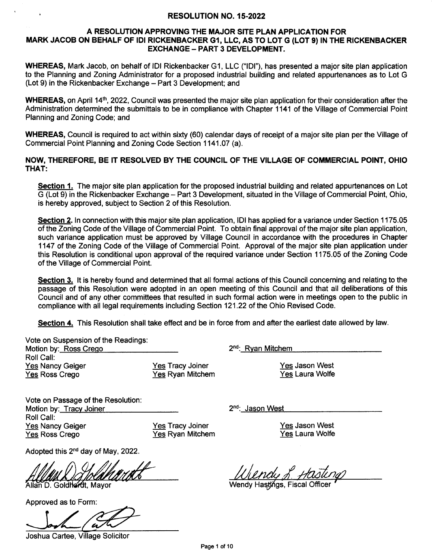### RESOLUTION NO. 15.2022

#### A RESOLUTION APPROVING THE MAJOR SITE PLAN APPLICATION FOR MARK JACOB ON BEHALF OF IDI RICKENBACKER G1, LLC, AS TO LOT G (LOT 9) IN THE RICKENBACKER EXCHANGE - PART 3 DEVELOPMENT.

WHEREAS, Mark Jacob, on behalf of lDl Rickenbacker G1, LLC ("lDl"), has presented a major site plan application to the Planning and Zoning Administrator for a proposed industrial building and related appurtenances as to Lot G (Lot 9) in the Rickenbacker Exchange - Part 3 Development; and

WHEREAS, on April 14<sup>th</sup>, 2022, Council was presented the major site plan application for their consideration after the Administration determined the submittals to be in compliance with Chapter 1141 of the Village of Commercial Point Planning and Zoning Code; and

WHEREAS, Council is required to act within sixty (60) calendar days of receipt of a major site plan per the Village of Commercial Point Planning and Zoning Code Section 1141.07 (a).

### NOW, THEREFORE, BE !T RESOLVED BY THE COUNCIL OF THE VILLAGE OF COMMERCIAL POINT, OHIO THAT:

Section 1. The major site plan application for the proposed industrial building and related appurtenances on Lot G (Lot 9) in the Rickenbacker Exchange - Part 3 Development, situated in the Village of Commercial Point, Ohio, is hereby approved, subject to Section 2 of this Resolution.

Section 2. In connection with this major site plan application, IDI has applied for a variance under Section 1175.05 of the Zoning Code of the Village of Commercial Point. To obtain final approval of the major site plan application, such variance application must be approved by Village Council in accordance with the procedures in Chapter 1147 of the Zoning Code of the Village of Commercial Point. Approval of the major site plan application under this Resolution is conditional upon approval of the required variance under Section 1175.05 of the Zoning Code of the Village of Commercial Point.

Section 3. It is hereby found and determined that all formal actions of this Council concerning and relating to the passage of this Resolution were adopted in an open meeting of this Council and that all deliberations of this Council and of any other committees that resulted in such formal action were in meetings open to the public in compliancewith all legal requirements including Section 121.22 of the Ohio Revised Code.

Section 4. This Resolution shall take effect and be in force from and after the earliest date allowed by law.

Vote on Suspension of the Readings Motion by: Ross Crego 2nd: Ryan Mitchem Roll Call: Yes Nancy Geiger Yes Ross Crego

Yes Tracy Joiner Yes Ryan Mitchem

Yes Jason West Yes Laura Wolfe

Vote on Passage of the Resolution Motion by: Tracy Joiner Roll Call: Yes Nancy Geiger Yes Ross Crego

Yes Tracy Joiner Yes Ryan Mitchem 2<sup>nd</sup>: Jason West

Yes Jason West Yes Laura Wolfe

Adopted this 2<sup>nd</sup> day of May, 2022.

llan D. Goldhardt, Mayor

Approved as to Form

lr

Joshua Cartee, Village Solicitor

Wiendy L. Hasting

Wendy Hastings, Fiscal Officer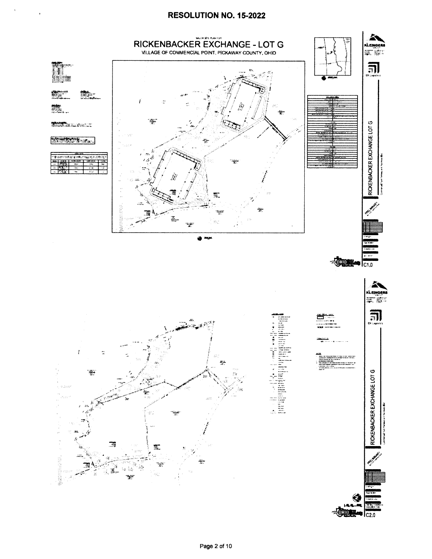## RESOLUTION NO. 15-2022

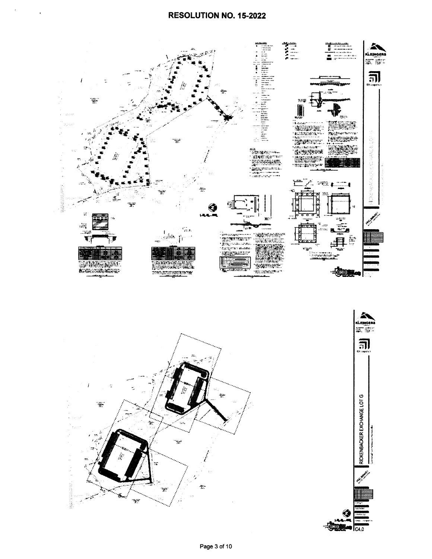$\bar{\epsilon}$ 



Page 3 of 10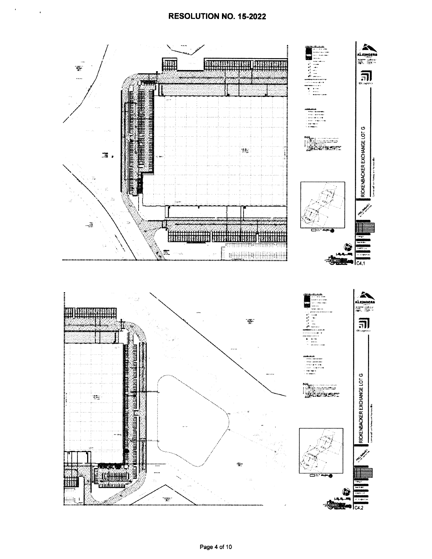# RESOLUTION NO. 15-2022

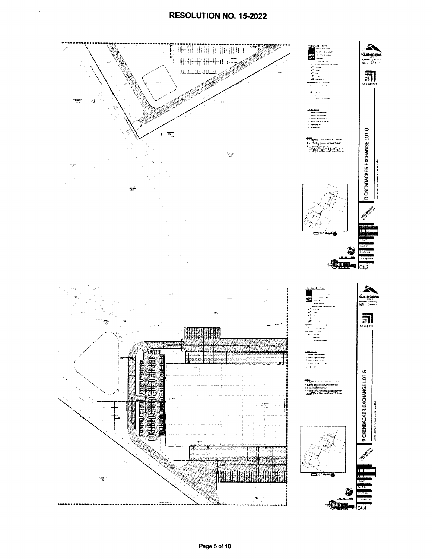$\overline{a}$ 

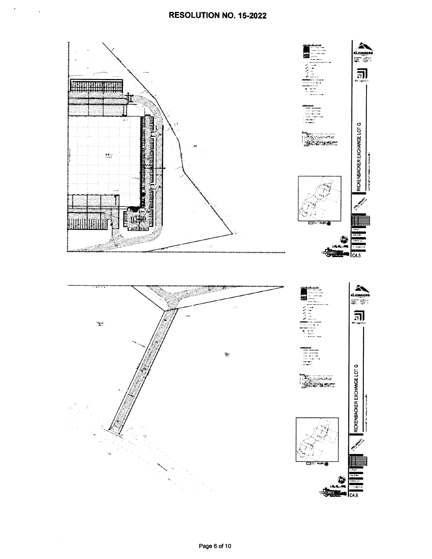$\bar{\pmb{\cdot}}$ 

 $\bar{\mathbf{r}}$ 

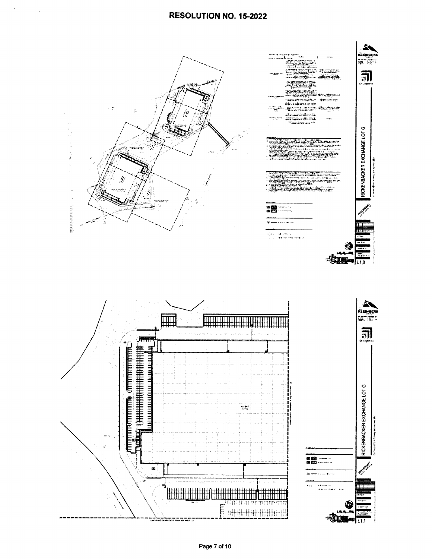$\bar{\mathbf{k}}$ 

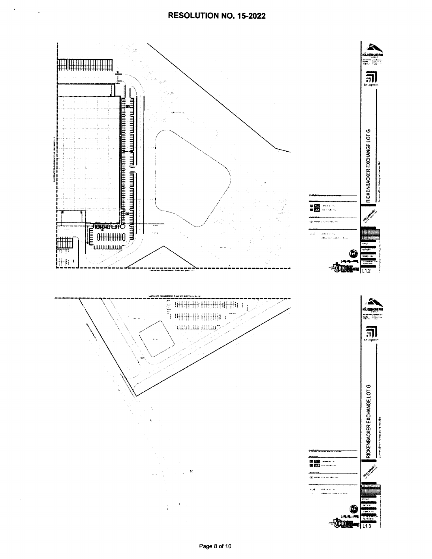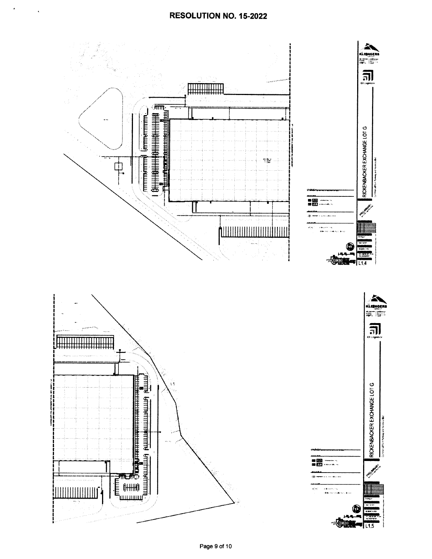¥

 $\ddot{\phantom{0}}$